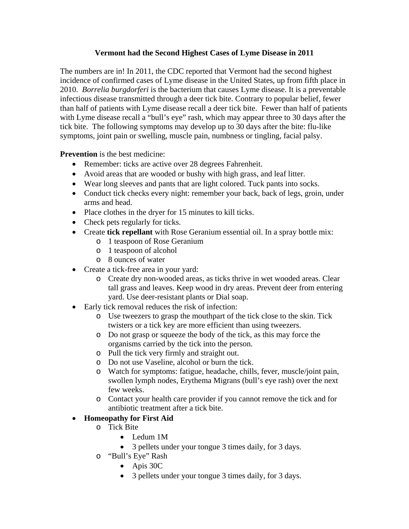## **Vermont had the Second Highest Cases of Lyme Disease in 2011**

The numbers are in! In 2011, the CDC reported that Vermont had the second highest incidence of confirmed cases of Lyme disease in the United States, up from fifth place in 2010. *Borrelia burgdorferi* is the bacterium that causes Lyme disease. It is a preventable infectious disease transmitted through a deer tick bite. Contrary to popular belief, fewer than half of patients with Lyme disease recall a deer tick bite. Fewer than half of patients with Lyme disease recall a "bull's eye" rash, which may appear three to 30 days after the tick bite. The following symptoms may develop up to 30 days after the bite: flu-like symptoms, joint pain or swelling, muscle pain, numbness or tingling, facial palsy.

**Prevention** is the best medicine:

- Remember: ticks are active over 28 degrees Fahrenheit.
- Avoid areas that are wooded or bushy with high grass, and leaf litter.
- Wear long sleeves and pants that are light colored. Tuck pants into socks.
- Conduct tick checks every night: remember your back, back of legs, groin, under arms and head.
- Place clothes in the dryer for 15 minutes to kill ticks.
- Check pets regularly for ticks.
- Create **tick repellant** with Rose Geranium essential oil. In a spray bottle mix:
	- o 1 teaspoon of Rose Geranium
	- o 1 teaspoon of alcohol
	- o 8 ounces of water
- Create a tick-free area in your yard:
	- o Create dry non-wooded areas, as ticks thrive in wet wooded areas. Clear tall grass and leaves. Keep wood in dry areas. Prevent deer from entering yard. Use deer-resistant plants or Dial soap.
- Early tick removal reduces the risk of infection:
	- o Use tweezers to grasp the mouthpart of the tick close to the skin. Tick twisters or a tick key are more efficient than using tweezers.
	- o Do not grasp or squeeze the body of the tick, as this may force the organisms carried by the tick into the person.
	- o Pull the tick very firmly and straight out.
	- o Do not use Vaseline, alcohol or burn the tick.
	- o Watch for symptoms: fatigue, headache, chills, fever, muscle/joint pain, swollen lymph nodes, Erythema Migrans (bull's eye rash) over the next few weeks.
	- o Contact your health care provider if you cannot remove the tick and for antibiotic treatment after a tick bite.
- **Homeopathy for First Aid** 
	- o Tick Bite
		- Ledum 1M
		- 3 pellets under your tongue 3 times daily, for 3 days.
	- o "Bull's Eye" Rash
		- Apis 30C
		- 3 pellets under your tongue 3 times daily, for 3 days.